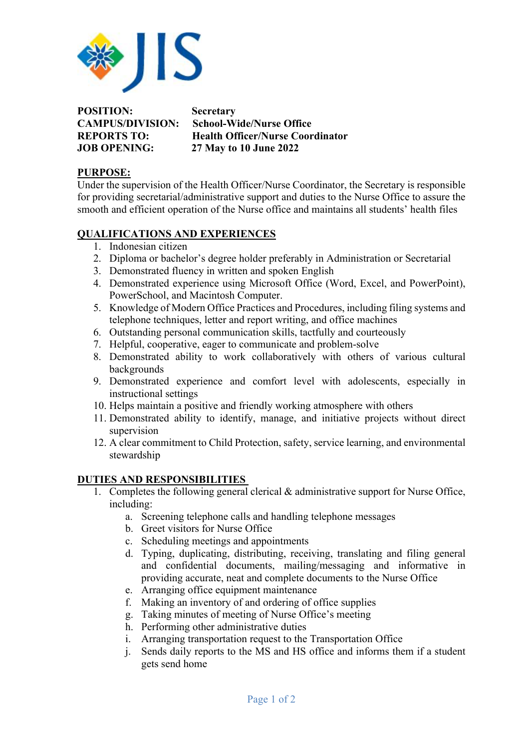

**POSITION: Secretary** 

**CAMPUS/DIVISION: School-Wide/Nurse Office REPORTS TO: Health Officer/Nurse Coordinator JOB OPENING: 27 May to 10 June 2022**

## **PURPOSE:**

Under the supervision of the Health Officer/Nurse Coordinator, the Secretary is responsible for providing secretarial/administrative support and duties to the Nurse Office to assure the smooth and efficient operation of the Nurse office and maintains all students' health files

## **QUALIFICATIONS AND EXPERIENCES**

- 1. Indonesian citizen
- 2. Diploma or bachelor's degree holder preferably in Administration or Secretarial
- 3. Demonstrated fluency in written and spoken English
- 4. Demonstrated experience using Microsoft Office (Word, Excel, and PowerPoint), PowerSchool, and Macintosh Computer.
- 5. Knowledge of Modern Office Practices and Procedures, including filing systems and telephone techniques, letter and report writing, and office machines
- 6. Outstanding personal communication skills, tactfully and courteously
- 7. Helpful, cooperative, eager to communicate and problem-solve
- 8. Demonstrated ability to work collaboratively with others of various cultural backgrounds
- 9. Demonstrated experience and comfort level with adolescents, especially in instructional settings
- 10. Helps maintain a positive and friendly working atmosphere with others
- 11. Demonstrated ability to identify, manage, and initiative projects without direct supervision
- 12. A clear commitment to Child Protection, safety, service learning, and environmental stewardship

## **DUTIES AND RESPONSIBILITIES**

- 1. Completes the following general clerical & administrative support for Nurse Office, including:
	- a. Screening telephone calls and handling telephone messages
	- b. Greet visitors for Nurse Office
	- c. Scheduling meetings and appointments
	- d. Typing, duplicating, distributing, receiving, translating and filing general and confidential documents, mailing/messaging and informative in providing accurate, neat and complete documents to the Nurse Office
	- e. Arranging office equipment maintenance
	- f. Making an inventory of and ordering of office supplies
	- g. Taking minutes of meeting of Nurse Office's meeting
	- h. Performing other administrative duties
	- i. Arranging transportation request to the Transportation Office
	- j. Sends daily reports to the MS and HS office and informs them if a student gets send home